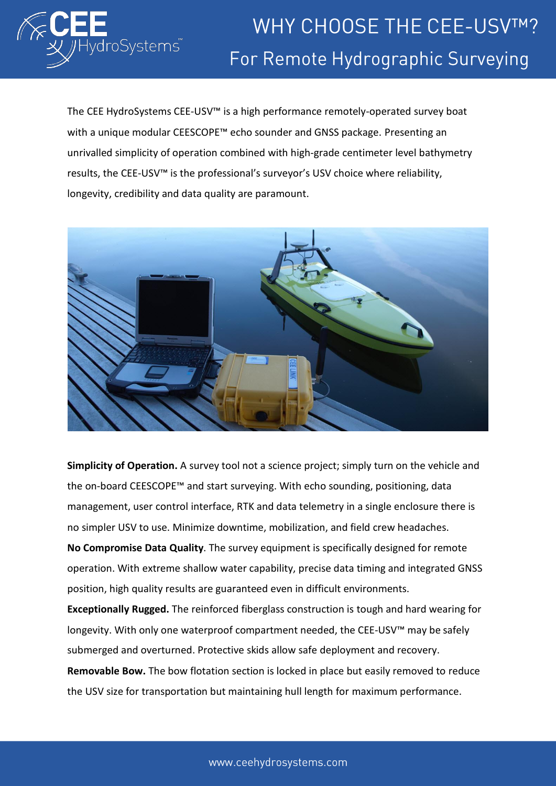

The CEE HydroSystems CEE-USV™ is a high performance remotely-operated survey boat with a unique modular CEESCOPE™ echo sounder and GNSS package. Presenting an unrivalled simplicity of operation combined with high-grade centimeter level bathymetry results, the CEE-USV™ is the professional's surveyor's USV choice where reliability, longevity, credibility and data quality are paramount.



**Simplicity of Operation.** A survey tool not a science project; simply turn on the vehicle and the on-board CEESCOPE™ and start surveying. With echo sounding, positioning, data management, user control interface, RTK and data telemetry in a single enclosure there is no simpler USV to use. Minimize downtime, mobilization, and field crew headaches.

**No Compromise Data Quality**. The survey equipment is specifically designed for remote operation. With extreme shallow water capability, precise data timing and integrated GNSS position, high quality results are guaranteed even in difficult environments.

**Exceptionally Rugged.** The reinforced fiberglass construction is tough and hard wearing for longevity. With only one waterproof compartment needed, the CEE-USV™ may be safely submerged and overturned. Protective skids allow safe deployment and recovery. **Removable Bow.** The bow flotation section is locked in place but easily removed to reduce the USV size for transportation but maintaining hull length for maximum performance.